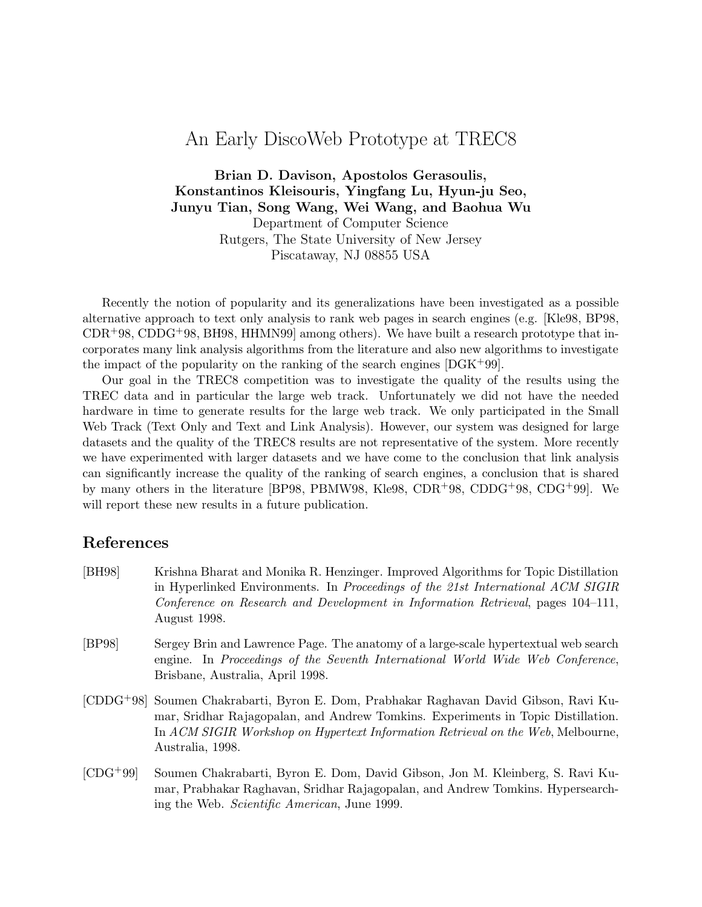## An Early DiscoWeb Prototype at TREC8

**Brian D. Davison, Apostolos Gerasoulis, Konstantinos Kleisouris, Yingfang Lu, Hyun-ju Seo, Junyu Tian, Song Wang, Wei Wang, and Baohua Wu** Department of Computer Science Rutgers, The State University of New Jersey Piscataway, NJ 08855 USA

Recently the notion of popularity and its generalizations have been investigated as a possible alternative approach to text only analysis to rank web pages in search engines (e.g. [Kle98, BP98,  $CDR+98$ , CDDG<sup>+</sup>98, BH98, HHMN99 among others). We have built a research prototype that incorporates many link analysis algorithms from the literature and also new algorithms to investigate the impact of the popularity on the ranking of the search engines  $[DGK^+99]$ .

Our goal in the TREC8 competition was to investigate the quality of the results using the TREC data and in particular the large web track. Unfortunately we did not have the needed hardware in time to generate results for the large web track. We only participated in the Small Web Track (Text Only and Text and Link Analysis). However, our system was designed for large datasets and the quality of the TREC8 results are not representative of the system. More recently we have experimented with larger datasets and we have come to the conclusion that link analysis can significantly increase the quality of the ranking of search engines, a conclusion that is shared by many others in the literature [BP98, PBMW98, Kle98, CDR+98, CDDG+98, CDG+99]. We will report these new results in a future publication.

## **References**

- [BH98] Krishna Bharat and Monika R. Henzinger. Improved Algorithms for Topic Distillation in Hyperlinked Environments. In Proceedings of the 21st International ACM SIGIR Conference on Research and Development in Information Retrieval, pages 104–111, August 1998.
- [BP98] Sergey Brin and Lawrence Page. The anatomy of a large-scale hypertextual web search engine. In Proceedings of the Seventh International World Wide Web Conference, Brisbane, Australia, April 1998.
- [CDDG+98] Soumen Chakrabarti, Byron E. Dom, Prabhakar Raghavan David Gibson, Ravi Kumar, Sridhar Rajagopalan, and Andrew Tomkins. Experiments in Topic Distillation. In ACM SIGIR Workshop on Hypertext Information Retrieval on the Web, Melbourne, Australia, 1998.
- [CDG+99] Soumen Chakrabarti, Byron E. Dom, David Gibson, Jon M. Kleinberg, S. Ravi Kumar, Prabhakar Raghavan, Sridhar Rajagopalan, and Andrew Tomkins. Hypersearching the Web. Scientific American, June 1999.